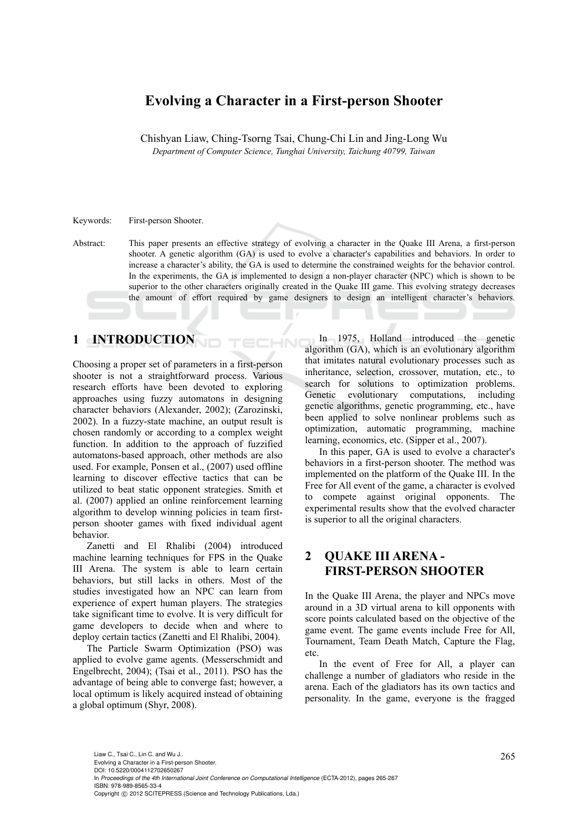# **Evolving a Character in a First-person Shooter**

Chishyan Liaw, Ching-Tsorng Tsai, Chung-Chi Lin and Jing-Long Wu *Department of Computer Science, Tunghai University, Taichung 40799, Taiwan*

Keywords: First-person Shooter.

Abstract: This paper presents an effective strategy of evolving a character in the Quake III Arena, a first-person shooter. A genetic algorithm (GA) is used to evolve a character's capabilities and behaviors. In order to increase a character's ability, the GA is used to determine the constrained weights for the behavior control. In the experiments, the GA is implemented to design a non-player character (NPC) which is shown to be superior to the other characters originally created in the Quake III game. This evolving strategy decreases the amount of effort required by game designers to design an intelligent character's behaviors.

 $\overline{\mathcal{M}}$ 

### **1 INTRODUCTION**

Choosing a proper set of parameters in a first-person shooter is not a straightforward process. Various research efforts have been devoted to exploring approaches using fuzzy automatons in designing character behaviors (Alexander, 2002); (Zarozinski, 2002). In a fuzzy-state machine, an output result is chosen randomly or according to a complex weight function. In addition to the approach of fuzzified automatons-based approach, other methods are also used. For example, Ponsen et al., (2007) used offline learning to discover effective tactics that can be utilized to beat static opponent strategies. Smith et al. (2007) applied an online reinforcement learning algorithm to develop winning policies in team firstperson shooter games with fixed individual agent behavior.

Zanetti and El Rhalibi (2004) introduced machine learning techniques for FPS in the Quake III Arena. The system is able to learn certain behaviors, but still lacks in others. Most of the studies investigated how an NPC can learn from experience of expert human players. The strategies take significant time to evolve. It is very difficult for game developers to decide when and where to deploy certain tactics (Zanetti and El Rhalibi, 2004).

The Particle Swarm Optimization (PSO) was applied to evolve game agents. (Messerschmidt and Engelbrecht, 2004); (Tsai et al., 2011). PSO has the advantage of being able to converge fast; however, a local optimum is likely acquired instead of obtaining a global optimum (Shyr, 2008).

In 1975, Holland introduced the genetic algorithm (GA), which is an evolutionary algorithm that imitates natural evolutionary processes such as inheritance, selection, crossover, mutation, etc., to search for solutions to optimization problems. Genetic evolutionary computations, including genetic algorithms, genetic programming, etc., have been applied to solve nonlinear problems such as optimization, automatic programming, machine learning, economics, etc. (Sipper et al., 2007).

In this paper, GA is used to evolve a character's behaviors in a first-person shooter. The method was implemented on the platform of the Quake III. In the Free for All event of the game, a character is evolved to compete against original opponents. The experimental results show that the evolved character is superior to all the original characters.

# **2 QUAKE III ARENA - FIRST-PERSON SHOOTER**

In the Quake III Arena, the player and NPCs move around in a 3D virtual arena to kill opponents with score points calculated based on the objective of the game event. The game events include Free for All, Tournament, Team Death Match, Capture the Flag, etc.

In the event of Free for All, a player can challenge a number of gladiators who reside in the arena. Each of the gladiators has its own tactics and personality. In the game, everyone is the fragged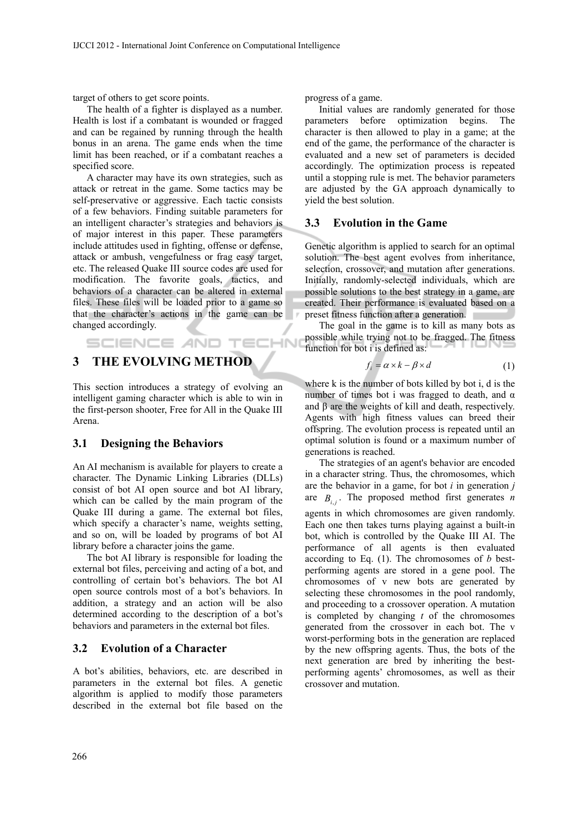target of others to get score points.

The health of a fighter is displayed as a number. Health is lost if a combatant is wounded or fragged and can be regained by running through the health bonus in an arena. The game ends when the time limit has been reached, or if a combatant reaches a specified score.

A character may have its own strategies, such as attack or retreat in the game. Some tactics may be self-preservative or aggressive. Each tactic consists of a few behaviors. Finding suitable parameters for an intelligent character's strategies and behaviors is of major interest in this paper. These parameters include attitudes used in fighting, offense or defense, attack or ambush, vengefulness or frag easy target, etc. The released Quake III source codes are used for modification. The favorite goals, tactics, and behaviors of a character can be altered in external files. These files will be loaded prior to a game so that the character's actions in the game can be changed accordingly.

# **3 THE EVOLVING METHOD**

This section introduces a strategy of evolving an intelligent gaming character which is able to win in the first-person shooter, Free for All in the Quake III Arena.

SCIENCE AND TECHN

#### **3.1 Designing the Behaviors**

An AI mechanism is available for players to create a character. The Dynamic Linking Libraries (DLLs) consist of bot AI open source and bot AI library, which can be called by the main program of the Quake III during a game. The external bot files, which specify a character's name, weights setting, and so on, will be loaded by programs of bot AI library before a character joins the game.

The bot AI library is responsible for loading the external bot files, perceiving and acting of a bot, and controlling of certain bot's behaviors. The bot AI open source controls most of a bot's behaviors. In addition, a strategy and an action will be also determined according to the description of a bot's behaviors and parameters in the external bot files.

#### **3.2 Evolution of a Character**

A bot's abilities, behaviors, etc. are described in parameters in the external bot files. A genetic algorithm is applied to modify those parameters described in the external bot file based on the progress of a game.

Initial values are randomly generated for those parameters before optimization begins. The character is then allowed to play in a game; at the end of the game, the performance of the character is evaluated and a new set of parameters is decided accordingly. The optimization process is repeated until a stopping rule is met. The behavior parameters are adjusted by the GA approach dynamically to yield the best solution.

#### **3.3 Evolution in the Game**

Genetic algorithm is applied to search for an optimal solution. The best agent evolves from inheritance, selection, crossover, and mutation after generations. Initially, randomly-selected individuals, which are possible solutions to the best strategy in a game, are created. Their performance is evaluated based on a preset fitness function after a generation.

The goal in the game is to kill as many bots as possible while trying not to be fragged. The fitness function for bot i is defined as:

$$
f_i = \alpha \times k - \beta \times d \tag{1}
$$

where k is the number of bots killed by bot i, d is the number of times bot i was fragged to death, and  $\alpha$ and β are the weights of kill and death, respectively. Agents with high fitness values can breed their offspring. The evolution process is repeated until an optimal solution is found or a maximum number of generations is reached.

The strategies of an agent's behavior are encoded in a character string. Thus, the chromosomes, which are the behavior in a game, for bot *i* in generation *j*  are  $B_{ij}$ . The proposed method first generates *n* agents in which chromosomes are given randomly. Each one then takes turns playing against a built-in bot, which is controlled by the Quake III AI. The performance of all agents is then evaluated according to Eq. (1). The chromosomes of *b* bestperforming agents are stored in a gene pool. The chromosomes of v new bots are generated by selecting these chromosomes in the pool randomly, and proceeding to a crossover operation. A mutation is completed by changing *t* of the chromosomes generated from the crossover in each bot. The v worst-performing bots in the generation are replaced by the new offspring agents. Thus, the bots of the next generation are bred by inheriting the bestperforming agents' chromosomes, as well as their crossover and mutation.